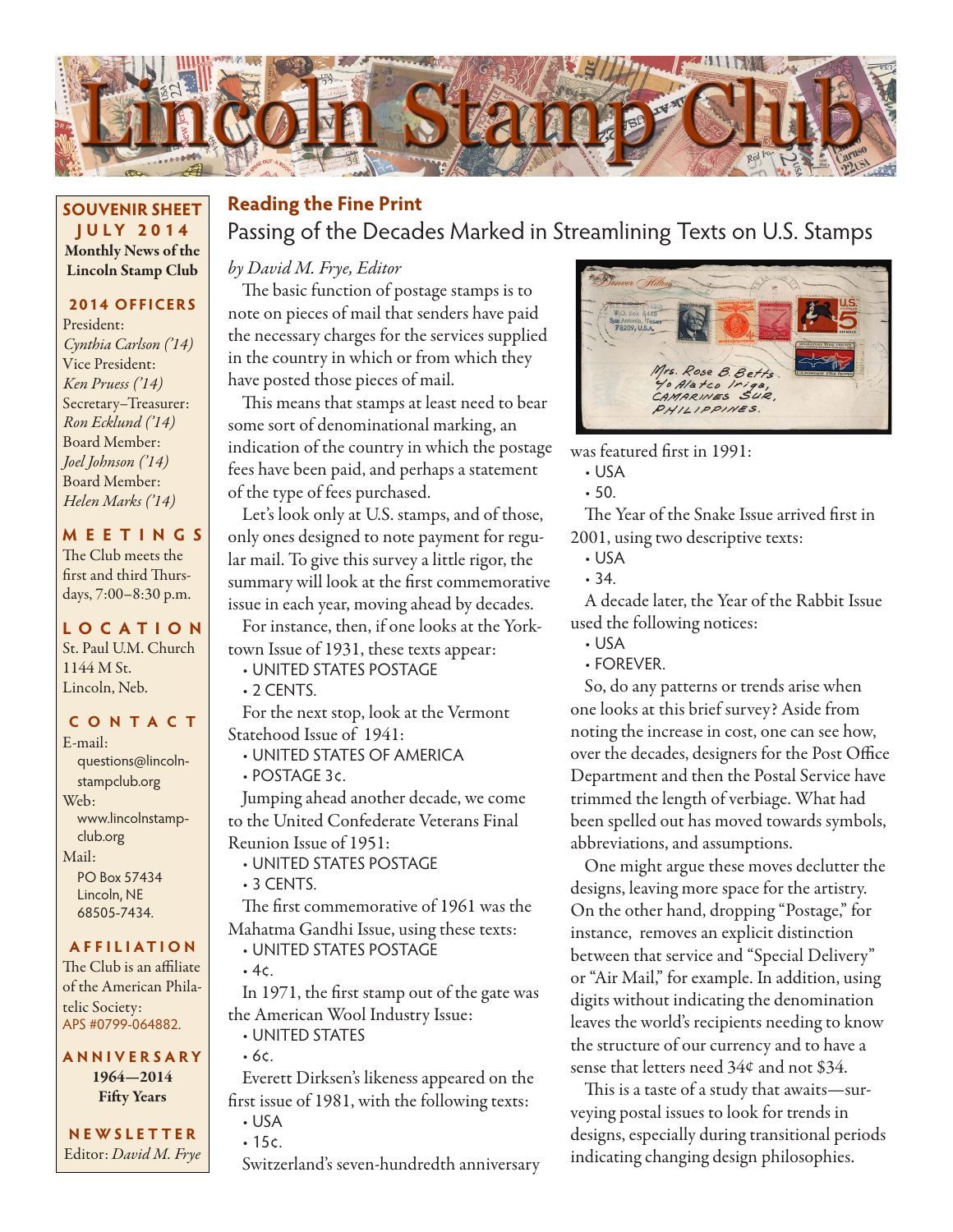

#### **SOUVENIR SHEET JU LY 2014** Monthly News of the Lincoln Stamp Club

### **2014 OFFICERS**

President: *Cynthia Carlson ('14)* Vice President: *Ken Pruess ('14)* Secretary–Treasurer: *Ron Ecklund ('14)* Board Member: *Joel Johnson ('14)* Board Member: *Helen Marks ('14)*

### **MEETINGS**

The Club meets the first and third Thursdays, 7:00–8:30 p.m.

### **LO C ATI O N**

St. Paul U.M. Church 1144 M St. Lincoln, Neb.

#### **CONTACT**

E-mail: questions@lincolnstampclub.org Web: www.lincolnstampclub.org Mail: PO Box 57434 Lincoln, NE 68505-7434.

#### **AFFI LIATI O N**

The Club is an affiliate of the American Philatelic Society: APS #0799-064882.

**ANNIVERSARY** 1964—2014 Fifty Years

**NEWSLETTER** Editor: *David M. Frye*

### Passing of the Decades Marked in Streamlining Texts on U.S. Stamps **Reading the Fine Print**

### *by David M. Frye, Editor*

The basic function of postage stamps is to note on pieces of mail that senders have paid the necessary charges for the services supplied in the country in which or from which they have posted those pieces of mail.

This means that stamps at least need to bear some sort of denominational marking, an indication of the country in which the postage fees have been paid, and perhaps a statement of the type of fees purchased.

Let's look only at U.S. stamps, and of those, only ones designed to note payment for regular mail. To give this survey a little rigor, the summary will look at the first commemorative issue in each year, moving ahead by decades.

For instance, then, if one looks at the Yorktown Issue of 1931, these texts appear:

• UNITED STATES POSTAGE

 $\cdot$  2 CENTS.

For the next stop, look at the Vermont Statehood Issue of 1941:

• UNITED STATES OF AMERICA • POSTAGE 3¢.

Jumping ahead another decade, we come to the United Confederate Veterans Final Reunion Issue of 1951:

- UNITED STATES POSTAGE
- 3 CENTS.

The first commemorative of 1961 was the Mahatma Gandhi Issue, using these texts:

- UNITED STATES POSTAGE
- 4¢.

In 1971, the first stamp out of the gate was the American Wool Industry Issue:

• UNITED STATES • 6¢.

Everett Dirksen's likeness appeared on the first issue of 1981, with the following texts: • USA

• 15¢.

Switzerland's seven-hundredth anniversary



was featured first in 1991:

- USA
- 50.

The Year of the Snake Issue arrived first in 2001, using two descriptive texts:

- USA
- 34.

A decade later, the Year of the Rabbit Issue used the following notices:

- USA
- FOREVER.

So, do any patterns or trends arise when one looks at this brief survey? Aside from noting the increase in cost, one can see how, over the decades, designers for the Post Office Department and then the Postal Service have trimmed the length of verbiage. What had been spelled out has moved towards symbols, abbreviations, and assumptions.

One might argue these moves declutter the designs, leaving more space for the artistry. On the other hand, dropping "Postage," for instance, removes an explicit distinction between that service and "Special Delivery" or "Air Mail," for example. In addition, using digits without indicating the denomination leaves the world's recipients needing to know the structure of our currency and to have a sense that letters need 34¢ and not \$34.

This is a taste of a study that awaits—surveying postal issues to look for trends in designs, especially during transitional periods indicating changing design philosophies.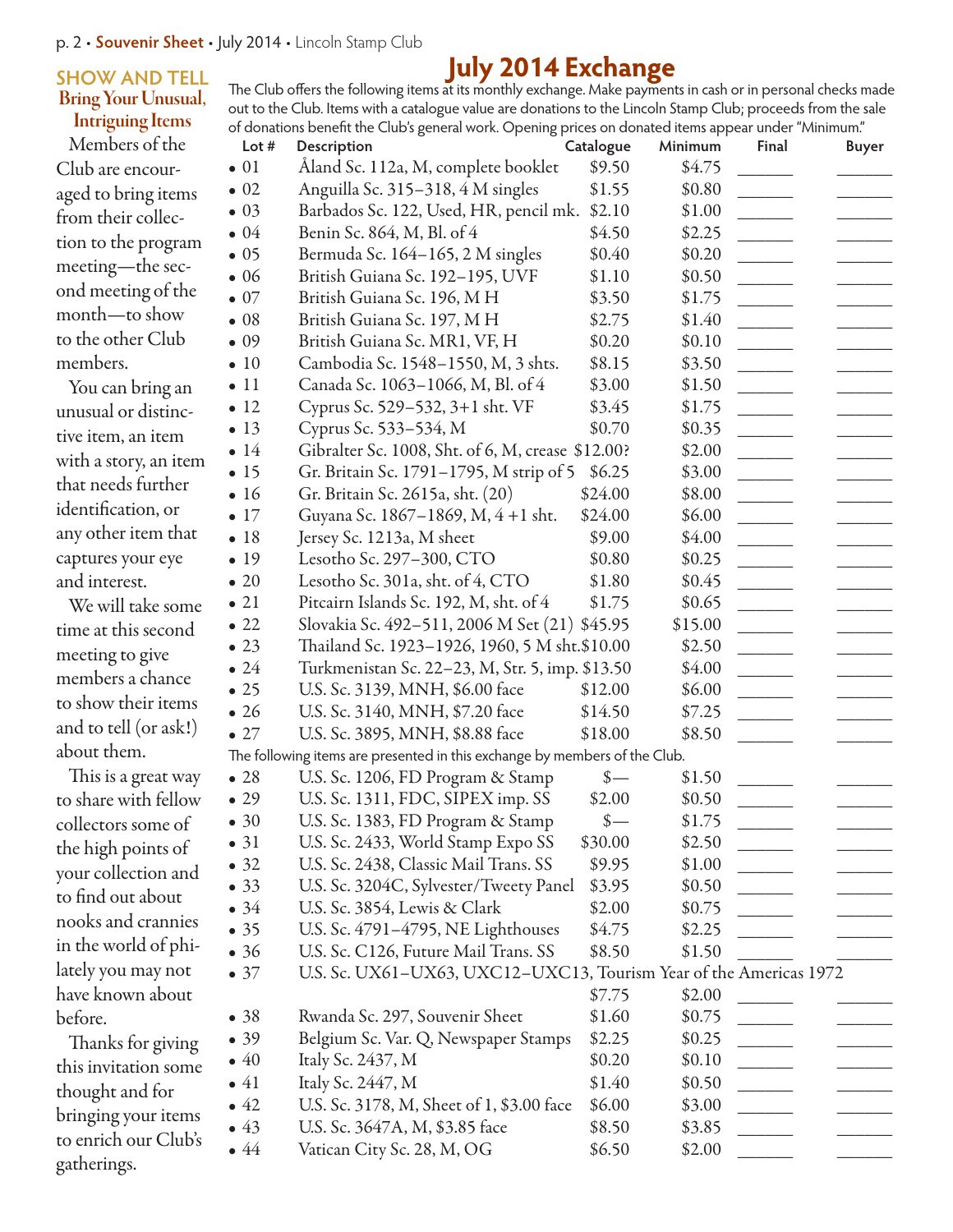#### **SHOW AND TELL** Bring Your Unusual, Intriguing Items

### Members of the Club are encouraged to bring items from their collection to the program meeting—the second meeting of the month—to show to the other Club members.

You can bring an unusual or distinctive item, an item with a story, an item that needs further identification, or any other item that captures your eye and interest.

We will take some time at this second meeting to give members a chance to show their items and to tell (or ask!) about them.

This is a great way to share with fellow collectors some of the high points of your collection and to find out about nooks and crannies in the world of philately you may not have known about before.

Thanks for giving this invitation some thought and for bringing your items to enrich our Club's gatherings.

**July 2014 Exchange** The Club offers the following items at its monthly exchange. Make payments in cash or in personal checks made out to the Club. Items with a catalogue value are donations to the Lincoln Stamp Club; proceeds from the sale of donations benefit the Club's general work. Opening prices on donated items appear under "Minimum."

| Lot #        | Description                                                                | Catalogue       | Minimum | Final                    | <b>Buyer</b> |
|--------------|----------------------------------------------------------------------------|-----------------|---------|--------------------------|--------------|
| $\bullet$ 01 | Åland Sc. 112a, M, complete booklet                                        | \$9.50          | \$4.75  |                          |              |
| $\bullet$ 02 | Anguilla Sc. 315-318, 4 M singles                                          | \$1.55          | \$0.80  |                          |              |
| $\bullet$ 03 | Barbados Sc. 122, Used, HR, pencil mk.                                     | \$2.10          | \$1.00  |                          |              |
| $\bullet$ 04 | Benin Sc. 864, M, Bl. of 4                                                 | \$4.50          | \$2.25  |                          |              |
| $\bullet$ 05 | Bermuda Sc. 164-165, 2 M singles                                           | \$0.40          | \$0.20  |                          |              |
| $\bullet$ 06 | British Guiana Sc. 192-195, UVF                                            | \$1.10          | \$0.50  |                          |              |
| $\bullet$ 07 | British Guiana Sc. 196, M H                                                | \$3.50          | \$1.75  |                          |              |
| $\bullet$ 08 | British Guiana Sc. 197, MH                                                 | \$2.75          | \$1.40  | $\overline{\phantom{a}}$ |              |
| $\bullet$ 09 | British Guiana Sc. MR1, VF, H                                              | \$0.20          | \$0.10  |                          |              |
| $\bullet$ 10 | Cambodia Sc. 1548-1550, M, 3 shts.                                         | \$8.15          | \$3.50  |                          |              |
| $\bullet$ 11 | Canada Sc. 1063-1066, M, Bl. of 4                                          | \$3.00          | \$1.50  |                          |              |
| $\bullet$ 12 | Cyprus Sc. 529–532, 3+1 sht. VF                                            | \$3.45          | \$1.75  |                          |              |
| $\bullet$ 13 | Cyprus Sc. 533-534, M                                                      | \$0.70          | \$0.35  |                          |              |
| $\bullet$ 14 | Gibralter Sc. 1008, Sht. of 6, M, crease \$12.00?                          |                 | \$2.00  | $\frac{1}{2}$            |              |
| $\bullet$ 15 | Gr. Britain Sc. 1791-1795, M strip of 5                                    | \$6.25          | \$3.00  |                          |              |
| $\bullet$ 16 | Gr. Britain Sc. 2615a, sht. (20)                                           | \$24.00         | \$8.00  |                          |              |
| $\bullet$ 17 | Guyana Sc. 1867–1869, M, 4 +1 sht.                                         | \$24.00         | \$6.00  |                          |              |
| $\bullet$ 18 | Jersey Sc. 1213a, M sheet                                                  | \$9.00          | \$4.00  |                          |              |
| • 19         | Lesotho Sc. 297-300, CTO                                                   | \$0.80          | \$0.25  |                          |              |
| $\bullet$ 20 | Lesotho Sc. 301a, sht. of 4, CTO                                           | \$1.80          | \$0.45  |                          |              |
| $\bullet$ 21 | Pitcairn Islands Sc. 192, M, sht. of 4                                     | \$1.75          | \$0.65  |                          |              |
| $\bullet$ 22 | Slovakia Sc. 492-511, 2006 M Set (21) \$45.95                              |                 | \$15.00 |                          |              |
| $\bullet$ 23 | Thailand Sc. 1923–1926, 1960, 5 M sht.\$10.00                              |                 | \$2.50  |                          |              |
| $\bullet$ 24 | Turkmenistan Sc. 22–23, M, Str. 5, imp. \$13.50                            |                 | \$4.00  | $\frac{1}{2}$            |              |
| $\bullet$ 25 | U.S. Sc. 3139, MNH, \$6.00 face                                            | \$12.00         | \$6.00  |                          |              |
| $\bullet$ 26 | U.S. Sc. 3140, MNH, \$7.20 face                                            | \$14.50         | \$7.25  | $\mathcal{L}$            |              |
| $\bullet$ 27 | U.S. Sc. 3895, MNH, \$8.88 face                                            | \$18.00         | \$8.50  |                          |              |
|              | The following items are presented in this exchange by members of the Club. |                 |         |                          |              |
| $\bullet$ 28 | U.S. Sc. 1206, FD Program & Stamp                                          | $\frac{\ }{s-}$ | \$1.50  |                          |              |
| $\bullet$ 29 | U.S. Sc. 1311, FDC, SIPEX imp. SS                                          | \$2.00          | \$0.50  |                          |              |
| $\bullet$ 30 | U.S. Sc. 1383, FD Program & Stamp                                          | $$ -$           | \$1.75  |                          |              |
| $\bullet$ 31 | U.S. Sc. 2433, World Stamp Expo SS                                         | \$30.00         | \$2.50  |                          |              |
| • 32         | U.S. Sc. 2438, Classic Mail Trans. SS                                      | \$9.95          | \$1.00  |                          |              |
| • 33         | U.S. Sc. 3204C, Sylvester/Tweety Panel                                     | \$3.95          | \$0.50  |                          |              |
| $\bullet$ 34 | U.S. Sc. 3854, Lewis & Clark                                               | \$2.00          | \$0.75  |                          |              |
| • 35         | U.S. Sc. 4791-4795, NE Lighthouses                                         | \$4.75          | \$2.25  |                          |              |
| •36          | U.S. Sc. C126, Future Mail Trans. SS                                       | \$8.50          | \$1.50  |                          |              |
| $\bullet$ 37 | U.S. Sc. UX61-UX63, UXC12-UXC13, Tourism Year of the Americas 1972         |                 |         |                          |              |
|              |                                                                            | \$7.75          | \$2.00  |                          |              |
| •38          | Rwanda Sc. 297, Souvenir Sheet                                             | \$1.60          | \$0.75  |                          |              |
| • 39         | Belgium Sc. Var. Q, Newspaper Stamps                                       | \$2.25          | \$0.25  |                          |              |
| $\bullet$ 40 |                                                                            | \$0.20          |         |                          |              |
| $\bullet$ 41 | Italy Sc. 2437, M                                                          |                 | \$0.10  |                          |              |
|              | Italy Sc. 2447, M                                                          | \$1.40          | \$0.50  |                          |              |
| $\bullet$ 42 | U.S. Sc. 3178, M, Sheet of 1, \$3.00 face                                  | \$6.00          | \$3.00  |                          |              |
| $\bullet$ 43 | U.S. Sc. 3647A, M, \$3.85 face                                             | \$8.50          | \$3.85  |                          |              |
| $\bullet$ 44 | Vatican City Sc. 28, M, OG                                                 | \$6.50          | \$2.00  |                          |              |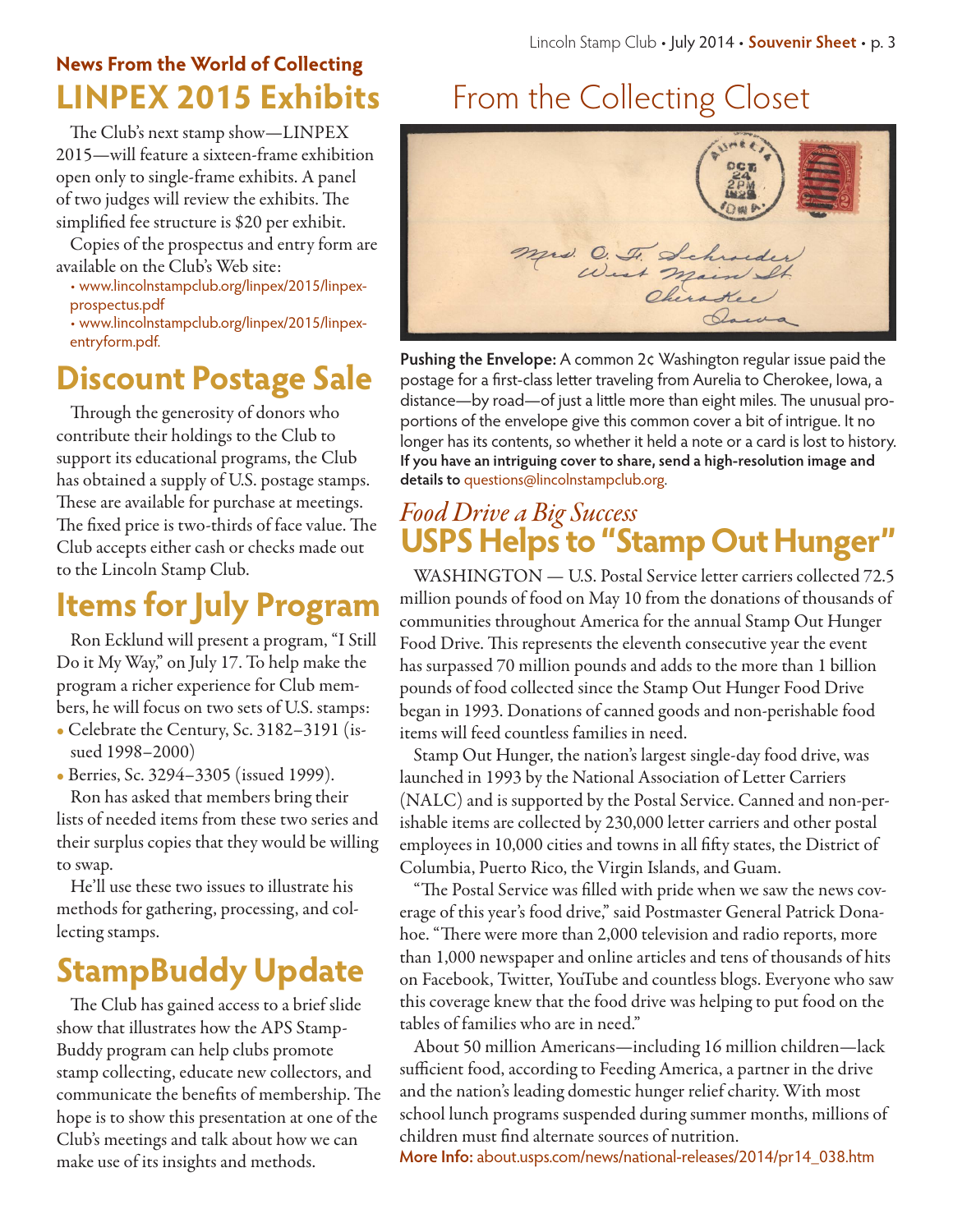# **News From the World of Collecting**

The Club's next stamp show—LINPEX 2015—will feature a sixteen-frame exhibition open only to single-frame exhibits. A panel of two judges will review the exhibits. The simplified fee structure is \$20 per exhibit.

Copies of the prospectus and entry form are available on the Club's Web site:

- www.lincolnstampclub.org/linpex/2015/linpexprospectus.pdf
- www.lincolnstampclub.org/linpex/2015/linpexentryform.pdf.

# **Discount Postage Sale**

Through the generosity of donors who contribute their holdings to the Club to support its educational programs, the Club has obtained a supply of U.S. postage stamps. These are available for purchase at meetings. The fixed price is two-thirds of face value. The Club accepts either cash or checks made out to the Lincoln Stamp Club.

# **Items for July Program**

Ron Ecklund will present a program, "I Still Do it My Way," on July 17. To help make the program a richer experience for Club members, he will focus on two sets of U.S. stamps:

• Celebrate the Century, Sc. 3182–3191 (issued 1998–2000)

• Berries, Sc. 3294–3305 (issued 1999).

Ron has asked that members bring their lists of needed items from these two series and their surplus copies that they would be willing to swap.

He'll use these two issues to illustrate his methods for gathering, processing, and collecting stamps.

# **StampBuddy Update**

The Club has gained access to a brief slide show that illustrates how the APS Stamp-Buddy program can help clubs promote stamp collecting, educate new collectors, and communicate the benefits of membership. The hope is to show this presentation at one of the Club's meetings and talk about how we can make use of its insights and methods.

# **LINPEX 2015 Exhibits** From the Collecting Closet



**Pushing the Envelope:** A common 2¢ Washington regular issue paid the postage for a first-class letter traveling from Aurelia to Cherokee, Iowa, a distance—by road—of just a little more than eight miles. The unusual proportions of the envelope give this common cover a bit of intrigue. It no longer has its contents, so whether it held a note or a card is lost to history. **If you have an intriguing cover to share, send a high-resolution image and details to** questions@lincolnstampclub.org.

## **USPS Helps to "Stamp Out Hunger"** *Food Drive a Big Success*

WASHINGTON — U.S. Postal Service letter carriers collected 72.5 million pounds of food on May 10 from the donations of thousands of communities throughout America for the annual Stamp Out Hunger Food Drive. This represents the eleventh consecutive year the event has surpassed 70 million pounds and adds to the more than 1 billion pounds of food collected since the Stamp Out Hunger Food Drive began in 1993. Donations of canned goods and non-perishable food items will feed countless families in need.

Stamp Out Hunger, the nation's largest single-day food drive, was launched in 1993 by the National Association of Letter Carriers (NALC) and is supported by the Postal Service. Canned and non-perishable items are collected by 230,000 letter carriers and other postal employees in 10,000 cities and towns in all fifty states, the District of Columbia, Puerto Rico, the Virgin Islands, and Guam.

"The Postal Service was filled with pride when we saw the news coverage of this year's food drive," said Postmaster General Patrick Donahoe. "There were more than 2,000 television and radio reports, more than 1,000 newspaper and online articles and tens of thousands of hits on Facebook, Twitter, YouTube and countless blogs. Everyone who saw this coverage knew that the food drive was helping to put food on the tables of families who are in need."

About 50 million Americans—including 16 million children—lack sufficient food, according to Feeding America, a partner in the drive and the nation's leading domestic hunger relief charity. With most school lunch programs suspended during summer months, millions of children must find alternate sources of nutrition.

**More Info:** about.usps.com/news/national-releases/2014/pr14\_038.htm